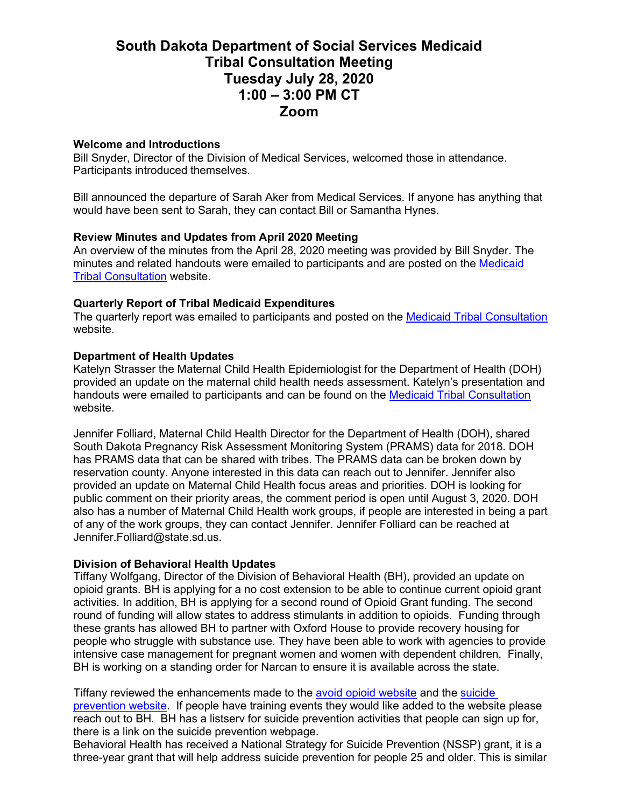# **South Dakota Department of Social Services Medicaid Tribal Consultation Meeting Tuesday July 28, 2020 1:00 – 3:00 PM CT Zoom**

## **Welcome and Introductions**

Bill Snyder, Director of the Division of Medical Services, welcomed those in attendance. Participants introduced themselves.

Bill announced the departure of Sarah Aker from Medical Services. If anyone has anything that would have been sent to Sarah, they can contact Bill or Samantha Hynes.

## **Review Minutes and Updates from April 2020 Meeting**

An overview of the minutes from the April 28, 2020 meeting was provided by Bill Snyder. The minutes and related handouts were emailed to participants and are posted on the Medicaid [Tribal Consultation](https://dss.sd.gov/medicaid/generalinfo/tribalconsultation.aspx) website.

## **Quarterly Report of Tribal Medicaid Expenditures**

The quarterly report was emailed to participants and posted on the [Medicaid Tribal Consultation](https://dss.sd.gov/medicaid/generalinfo/tribalconsultation.aspx) website.

## **Department of Health Updates**

Katelyn Strasser the Maternal Child Health Epidemiologist for the Department of Health (DOH) provided an update on the maternal child health needs assessment. Katelyn's presentation and handouts were emailed to participants and can be found on the [Medicaid Tribal Consultation](https://dss.sd.gov/medicaid/generalinfo/tribalconsultation.aspx) website.

Jennifer Folliard, Maternal Child Health Director for the Department of Health (DOH), shared South Dakota Pregnancy Risk Assessment Monitoring System (PRAMS) data for 2018. DOH has PRAMS data that can be shared with tribes. The PRAMS data can be broken down by reservation county. Anyone interested in this data can reach out to Jennifer. Jennifer also provided an update on Maternal Child Health focus areas and priorities. DOH is looking for public comment on their priority areas, the comment period is open until August 3, 2020. DOH also has a number of Maternal Child Health work groups, if people are interested in being a part of any of the work groups, they can contact Jennifer. Jennifer Folliard can be reached at Jennifer.Folliard@state.sd.us.

## **Division of Behavioral Health Updates**

Tiffany Wolfgang, Director of the Division of Behavioral Health (BH), provided an update on opioid grants. BH is applying for a no cost extension to be able to continue current opioid grant activities. In addition, BH is applying for a second round of Opioid Grant funding. The second round of funding will allow states to address stimulants in addition to opioids. Funding through these grants has allowed BH to partner with Oxford House to provide recovery housing for people who struggle with substance use. They have been able to work with agencies to provide intensive case management for pregnant women and women with dependent children. Finally, BH is working on a standing order for Narcan to ensure it is available across the state.

Tiffany reviewed the enhancements made to the [avoid opioid website](https://www.avoidopioidsd.com/) and th[e suicide](https://sdsuicideprevention.org/) [prevention website.](https://sdsuicideprevention.org/) If people have training events they would like added to the website please reach out to BH. BH has a listserv for suicide prevention activities that people can sign up for, there is a link on the suicide prevention webpage.

Behavioral Health has received a National Strategy for Suicide Prevention (NSSP) grant, it is a three-year grant that will help address suicide prevention for people 25 and older. This is similar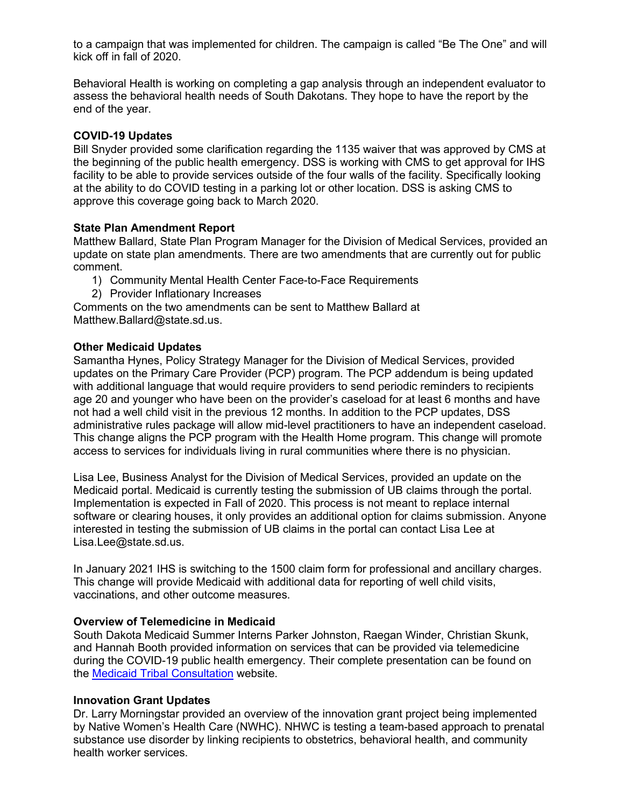to a campaign that was implemented for children. The campaign is called "Be The One" and will kick off in fall of 2020.

Behavioral Health is working on completing a gap analysis through an independent evaluator to assess the behavioral health needs of South Dakotans. They hope to have the report by the end of the year.

## **COVID-19 Updates**

Bill Snyder provided some clarification regarding the 1135 waiver that was approved by CMS at the beginning of the public health emergency. DSS is working with CMS to get approval for IHS facility to be able to provide services outside of the four walls of the facility. Specifically looking at the ability to do COVID testing in a parking lot or other location. DSS is asking CMS to approve this coverage going back to March 2020.

## **State Plan Amendment Report**

Matthew Ballard, State Plan Program Manager for the Division of Medical Services, provided an update on state plan amendments. There are two amendments that are currently out for public comment.

- 1) Community Mental Health Center Face-to-Face Requirements
- 2) Provider Inflationary Increases

Comments on the two amendments can be sent to Matthew Ballard at Matthew.Ballard@state.sd.us.

## **Other Medicaid Updates**

Samantha Hynes, Policy Strategy Manager for the Division of Medical Services, provided updates on the Primary Care Provider (PCP) program. The PCP addendum is being updated with additional language that would require providers to send periodic reminders to recipients age 20 and younger who have been on the provider's caseload for at least 6 months and have not had a well child visit in the previous 12 months. In addition to the PCP updates, DSS administrative rules package will allow mid-level practitioners to have an independent caseload. This change aligns the PCP program with the Health Home program. This change will promote access to services for individuals living in rural communities where there is no physician.

Lisa Lee, Business Analyst for the Division of Medical Services, provided an update on the Medicaid portal. Medicaid is currently testing the submission of UB claims through the portal. Implementation is expected in Fall of 2020. This process is not meant to replace internal software or clearing houses, it only provides an additional option for claims submission. Anyone interested in testing the submission of UB claims in the portal can contact Lisa Lee at Lisa.Lee@state.sd.us.

In January 2021 IHS is switching to the 1500 claim form for professional and ancillary charges. This change will provide Medicaid with additional data for reporting of well child visits, vaccinations, and other outcome measures.

## **Overview of Telemedicine in Medicaid**

South Dakota Medicaid Summer Interns Parker Johnston, Raegan Winder, Christian Skunk, and Hannah Booth provided information on services that can be provided via telemedicine during the COVID-19 public health emergency. Their complete presentation can be found on the [Medicaid Tribal Consultation](https://dss.sd.gov/medicaid/generalinfo/tribalconsultation.aspx) website.

## **Innovation Grant Updates**

Dr. Larry Morningstar provided an overview of the innovation grant project being implemented by Native Women's Health Care (NWHC). NHWC is testing a team-based approach to prenatal substance use disorder by linking recipients to obstetrics, behavioral health, and community health worker services.